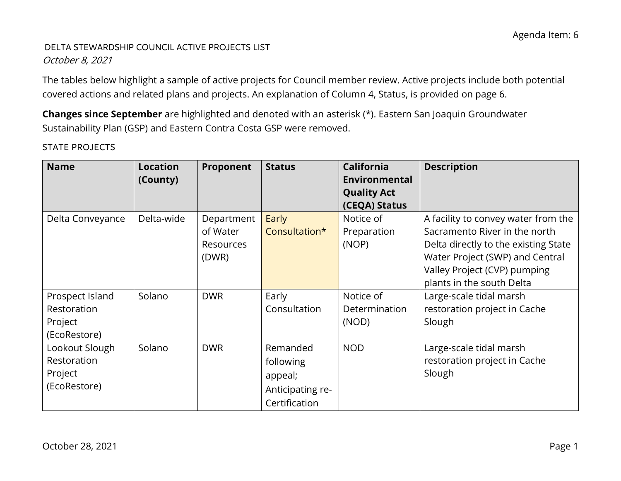# DELTA STEWARDSHIP COUNCIL ACTIVE PROJECTS LIST October 8, 2021

The tables below highlight a sample of active projects for Council member review. Active projects include both potential covered actions and related plans and projects. An explanation of Column 4, Status, is provided on page 6.

**Changes since September** are highlighted and denoted with an asterisk (\*). Eastern San Joaquin Groundwater Sustainability Plan (GSP) and Eastern Contra Costa GSP were removed.

| <b>Name</b>                                               | <b>Location</b><br>(County) | Proponent                                    | <b>Status</b>                                                         | <b>California</b><br>Environmental<br><b>Quality Act</b><br>(CEQA) Status | <b>Description</b>                                                                                                                                                                                           |
|-----------------------------------------------------------|-----------------------------|----------------------------------------------|-----------------------------------------------------------------------|---------------------------------------------------------------------------|--------------------------------------------------------------------------------------------------------------------------------------------------------------------------------------------------------------|
| Delta Conveyance                                          | Delta-wide                  | Department<br>of Water<br>Resources<br>(DWR) | Early<br>Consultation*                                                | Notice of<br>Preparation<br>(NOP)                                         | A facility to convey water from the<br>Sacramento River in the north<br>Delta directly to the existing State<br>Water Project (SWP) and Central<br>Valley Project (CVP) pumping<br>plants in the south Delta |
| Prospect Island<br>Restoration<br>Project<br>(EcoRestore) | Solano                      | <b>DWR</b>                                   | Early<br>Consultation                                                 | Notice of<br>Determination<br>(NOD)                                       | Large-scale tidal marsh<br>restoration project in Cache<br>Slough                                                                                                                                            |
| Lookout Slough<br>Restoration<br>Project<br>(EcoRestore)  | Solano                      | <b>DWR</b>                                   | Remanded<br>following<br>appeal;<br>Anticipating re-<br>Certification | <b>NOD</b>                                                                | Large-scale tidal marsh<br>restoration project in Cache<br>Slough                                                                                                                                            |

STATE PROJECTS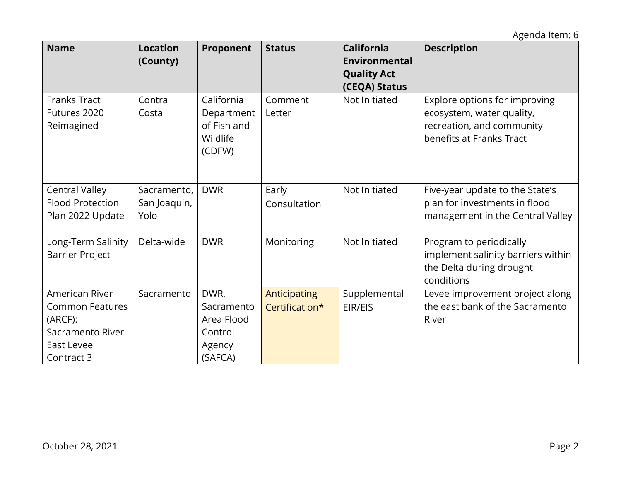| <b>Name</b>                                                                                                | <b>Location</b><br>(County)         | Proponent                                                        | <b>Status</b>                  | <b>California</b><br>Environmental<br><b>Quality Act</b><br>(CEQA) Status | <b>Description</b>                                                                                                  |
|------------------------------------------------------------------------------------------------------------|-------------------------------------|------------------------------------------------------------------|--------------------------------|---------------------------------------------------------------------------|---------------------------------------------------------------------------------------------------------------------|
| <b>Franks Tract</b><br>Futures 2020<br>Reimagined                                                          | Contra<br>Costa                     | California<br>Department<br>of Fish and<br>Wildlife<br>(CDFW)    | Comment<br>Letter              | Not Initiated                                                             | Explore options for improving<br>ecosystem, water quality,<br>recreation, and community<br>benefits at Franks Tract |
| <b>Central Valley</b><br><b>Flood Protection</b><br>Plan 2022 Update                                       | Sacramento,<br>San Joaquin,<br>Yolo | <b>DWR</b>                                                       | Early<br>Consultation          | Not Initiated                                                             | Five-year update to the State's<br>plan for investments in flood<br>management in the Central Valley                |
| Long-Term Salinity<br><b>Barrier Project</b>                                                               | Delta-wide                          | <b>DWR</b>                                                       | Monitoring                     | Not Initiated                                                             | Program to periodically<br>implement salinity barriers within<br>the Delta during drought<br>conditions             |
| American River<br><b>Common Features</b><br>(ARCF):<br>Sacramento River<br><b>East Levee</b><br>Contract 3 | Sacramento                          | DWR,<br>Sacramento<br>Area Flood<br>Control<br>Agency<br>(SAFCA) | Anticipating<br>Certification* | Supplemental<br>EIR/EIS                                                   | Levee improvement project along<br>the east bank of the Sacramento<br>River                                         |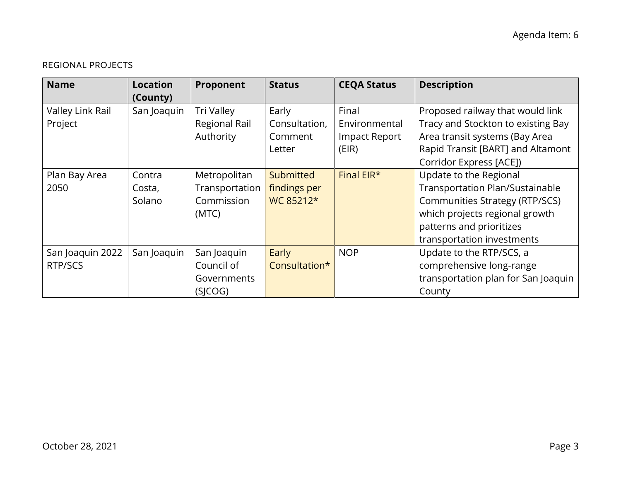## REGIONAL PROJECTS

| <b>Name</b>                 | <b>Location</b><br>(County) | Proponent                                       | <b>Status</b>                               | <b>CEQA Status</b>                               | <b>Description</b>                                                                                                                            |
|-----------------------------|-----------------------------|-------------------------------------------------|---------------------------------------------|--------------------------------------------------|-----------------------------------------------------------------------------------------------------------------------------------------------|
| Valley Link Rail<br>Project | San Joaquin                 | <b>Tri Valley</b><br>Regional Rail<br>Authority | Early<br>Consultation,<br>Comment<br>Letter | Final<br>Environmental<br>Impact Report<br>(EIR) | Proposed railway that would link<br>Tracy and Stockton to existing Bay<br>Area transit systems (Bay Area<br>Rapid Transit [BART] and Altamont |
| Plan Bay Area               | Contra                      | Metropolitan                                    | Submitted                                   | Final EIR*                                       | Corridor Express [ACE])<br>Update to the Regional                                                                                             |
| 2050                        | Costa,                      | Transportation                                  | findings per                                |                                                  | Transportation Plan/Sustainable                                                                                                               |
|                             | Solano                      | Commission<br>(MTC)                             | WC 85212*                                   |                                                  | <b>Communities Strategy (RTP/SCS)</b><br>which projects regional growth<br>patterns and prioritizes                                           |
|                             |                             |                                                 |                                             |                                                  | transportation investments                                                                                                                    |
| San Joaquin 2022            | San Joaquin                 | San Joaquin                                     | Early                                       | <b>NOP</b>                                       | Update to the RTP/SCS, a                                                                                                                      |
| RTP/SCS                     |                             | Council of                                      | Consultation*                               |                                                  | comprehensive long-range                                                                                                                      |
|                             |                             | Governments                                     |                                             |                                                  | transportation plan for San Joaquin                                                                                                           |
|                             |                             | (SICOG)                                         |                                             |                                                  | County                                                                                                                                        |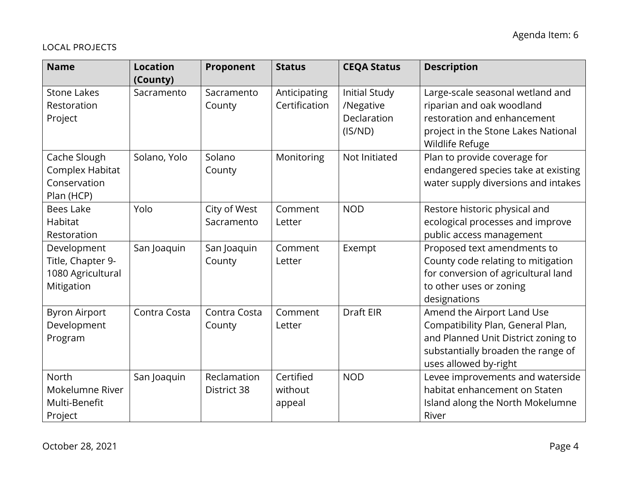## LOCAL PROJECTS

| <b>Name</b>                                                         | <b>Location</b><br>(County) | Proponent                  | <b>Status</b>                  | <b>CEQA Status</b>                                   | <b>Description</b>                                                                                                                                                    |
|---------------------------------------------------------------------|-----------------------------|----------------------------|--------------------------------|------------------------------------------------------|-----------------------------------------------------------------------------------------------------------------------------------------------------------------------|
| <b>Stone Lakes</b><br>Restoration<br>Project                        | Sacramento                  | Sacramento<br>County       | Anticipating<br>Certification  | Initial Study<br>/Negative<br>Declaration<br>(IS/ND) | Large-scale seasonal wetland and<br>riparian and oak woodland<br>restoration and enhancement<br>project in the Stone Lakes National<br>Wildlife Refuge                |
| Cache Slough<br>Complex Habitat<br>Conservation<br>Plan (HCP)       | Solano, Yolo                | Solano<br>County           | Monitoring                     | Not Initiated                                        | Plan to provide coverage for<br>endangered species take at existing<br>water supply diversions and intakes                                                            |
| <b>Bees Lake</b><br>Habitat<br>Restoration                          | Yolo                        | City of West<br>Sacramento | Comment<br>Letter              | <b>NOD</b>                                           | Restore historic physical and<br>ecological processes and improve<br>public access management                                                                         |
| Development<br>Title, Chapter 9-<br>1080 Agricultural<br>Mitigation | San Joaquin                 | San Joaquin<br>County      | Comment<br>Letter              | Exempt                                               | Proposed text amendments to<br>County code relating to mitigation<br>for conversion of agricultural land<br>to other uses or zoning<br>designations                   |
| <b>Byron Airport</b><br>Development<br>Program                      | Contra Costa                | Contra Costa<br>County     | Comment<br>Letter              | <b>Draft EIR</b>                                     | Amend the Airport Land Use<br>Compatibility Plan, General Plan,<br>and Planned Unit District zoning to<br>substantially broaden the range of<br>uses allowed by-right |
| North<br>Mokelumne River<br>Multi-Benefit<br>Project                | San Joaquin                 | Reclamation<br>District 38 | Certified<br>without<br>appeal | <b>NOD</b>                                           | Levee improvements and waterside<br>habitat enhancement on Staten<br>Island along the North Mokelumne<br>River                                                        |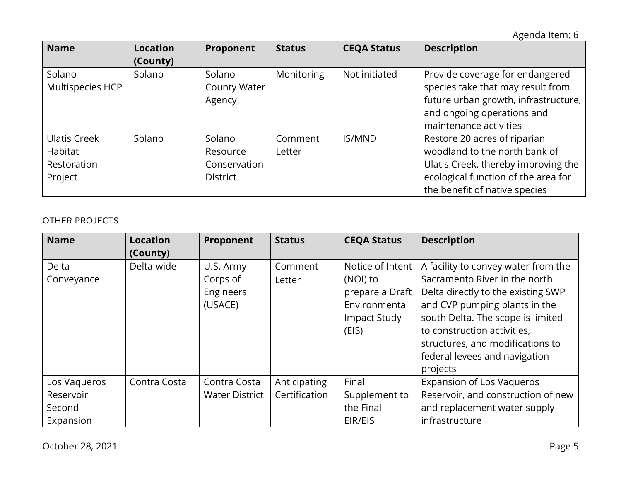| <b>Name</b>                                              | Location<br>(County) | Proponent                                             | <b>Status</b>     | <b>CEQA Status</b> | <b>Description</b>                                                                                                                                                           |
|----------------------------------------------------------|----------------------|-------------------------------------------------------|-------------------|--------------------|------------------------------------------------------------------------------------------------------------------------------------------------------------------------------|
| Solano<br>Multispecies HCP                               | Solano               | Solano<br><b>County Water</b><br>Agency               | Monitoring        | Not initiated      | Provide coverage for endangered<br>species take that may result from<br>future urban growth, infrastructure,<br>and ongoing operations and<br>maintenance activities         |
| <b>Ulatis Creek</b><br>Habitat<br>Restoration<br>Project | Solano               | Solano<br>Resource<br>Conservation<br><b>District</b> | Comment<br>Letter | <b>IS/MND</b>      | Restore 20 acres of riparian<br>woodland to the north bank of<br>Ulatis Creek, thereby improving the<br>ecological function of the area for<br>the benefit of native species |

### OTHER PROJECTS

| <b>Name</b>                                      | <b>Location</b><br>(County) | Proponent                                     | <b>Status</b>                 | <b>CEQA Status</b>                                                                        | <b>Description</b>                                                                                                                                                                                                                                                                               |
|--------------------------------------------------|-----------------------------|-----------------------------------------------|-------------------------------|-------------------------------------------------------------------------------------------|--------------------------------------------------------------------------------------------------------------------------------------------------------------------------------------------------------------------------------------------------------------------------------------------------|
| Delta<br>Conveyance                              | Delta-wide                  | U.S. Army<br>Corps of<br>Engineers<br>(USACE) | Comment<br>Letter             | Notice of Intent<br>(NOI) to<br>prepare a Draft<br>Environmental<br>Impact Study<br>(EIS) | A facility to convey water from the<br>Sacramento River in the north<br>Delta directly to the existing SWP<br>and CVP pumping plants in the<br>south Delta. The scope is limited<br>to construction activities,<br>structures, and modifications to<br>federal levees and navigation<br>projects |
| Los Vaqueros<br>Reservoir<br>Second<br>Expansion | Contra Costa                | Contra Costa<br><b>Water District</b>         | Anticipating<br>Certification | Final<br>Supplement to<br>the Final<br>EIR/EIS                                            | <b>Expansion of Los Vaqueros</b><br>Reservoir, and construction of new<br>and replacement water supply<br>infrastructure                                                                                                                                                                         |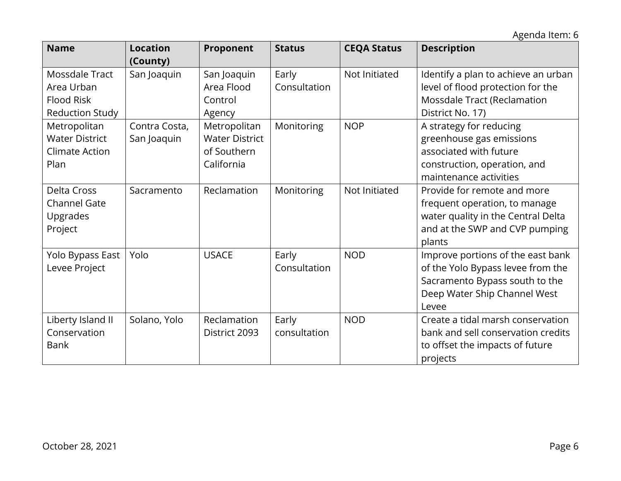| <b>Name</b>                                                                 | <b>Location</b><br>(County)  | Proponent                                                          | <b>Status</b>         | <b>CEQA Status</b> | <b>Description</b>                                                                                                                                |
|-----------------------------------------------------------------------------|------------------------------|--------------------------------------------------------------------|-----------------------|--------------------|---------------------------------------------------------------------------------------------------------------------------------------------------|
| Mossdale Tract<br>Area Urban<br><b>Flood Risk</b><br><b>Reduction Study</b> | San Joaquin                  | San Joaquin<br>Area Flood<br>Control<br>Agency                     | Early<br>Consultation | Not Initiated      | Identify a plan to achieve an urban<br>level of flood protection for the<br>Mossdale Tract (Reclamation<br>District No. 17)                       |
| Metropolitan<br><b>Water District</b><br><b>Climate Action</b><br>Plan      | Contra Costa,<br>San Joaquin | Metropolitan<br><b>Water District</b><br>of Southern<br>California | Monitoring            | <b>NOP</b>         | A strategy for reducing<br>greenhouse gas emissions<br>associated with future<br>construction, operation, and<br>maintenance activities           |
| <b>Delta Cross</b><br><b>Channel Gate</b><br>Upgrades<br>Project            | Sacramento                   | Reclamation                                                        | Monitoring            | Not Initiated      | Provide for remote and more<br>frequent operation, to manage<br>water quality in the Central Delta<br>and at the SWP and CVP pumping<br>plants    |
| Yolo Bypass East<br>Levee Project                                           | Yolo                         | <b>USACE</b>                                                       | Early<br>Consultation | <b>NOD</b>         | Improve portions of the east bank<br>of the Yolo Bypass levee from the<br>Sacramento Bypass south to the<br>Deep Water Ship Channel West<br>Levee |
| Liberty Island II<br>Conservation<br><b>Bank</b>                            | Solano, Yolo                 | Reclamation<br>District 2093                                       | Early<br>consultation | <b>NOD</b>         | Create a tidal marsh conservation<br>bank and sell conservation credits<br>to offset the impacts of future<br>projects                            |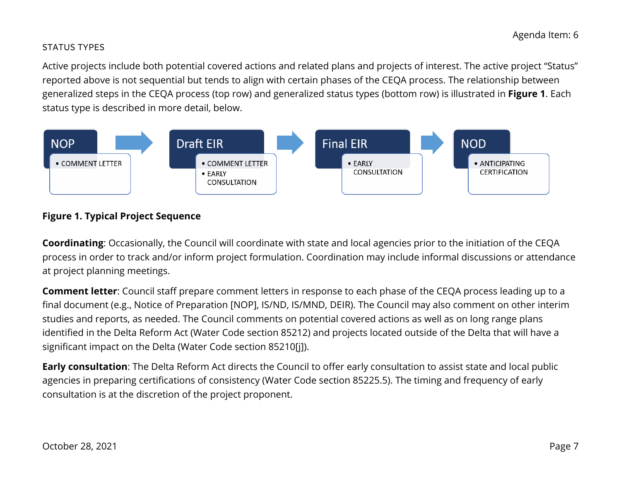#### STATUS TYPES

Active projects include both potential covered actions and related plans and projects of interest. The active project "Status" reported above is not sequential but tends to align with certain phases of the CEQA process. The relationship between generalized steps in the CEQA process (top row) and generalized status types (bottom row) is illustrated in **Figure 1**. Each status type is described in more detail, below.



# **Figure 1. Typical Project Sequence**

**Coordinating**: Occasionally, the Council will coordinate with state and local agencies prior to the initiation of the CEQA process in order to track and/or inform project formulation. Coordination may include informal discussions or attendance at project planning meetings.

**Comment letter**: Council staff prepare comment letters in response to each phase of the CEQA process leading up to a final document (e.g., Notice of Preparation [NOP], IS/ND, IS/MND, DEIR). The Council may also comment on other interim studies and reports, as needed. The Council comments on potential covered actions as well as on long range plans identified in the Delta Reform Act (Water Code section 85212) and projects located outside of the Delta that will have a significant impact on the Delta (Water Code section 85210[j]).

**Early consultation**: The Delta Reform Act directs the Council to offer early consultation to assist state and local public agencies in preparing certifications of consistency (Water Code section 85225.5). The timing and frequency of early consultation is at the discretion of the project proponent.